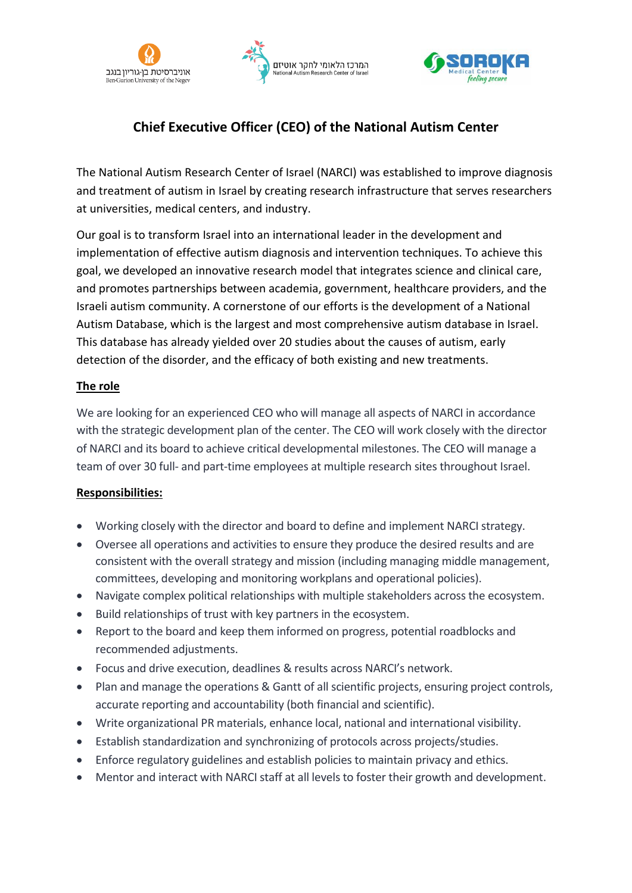





# **Chief Executive Officer (CEO) of the National Autism Center**

The National Autism Research Center of Israel (NARCI) was established to improve diagnosis and treatment of autism in Israel by creating research infrastructure that serves researchers at universities, medical centers, and industry.

Our goal is to transform Israel into an international leader in the development and implementation of effective autism diagnosis and intervention techniques. To achieve this goal, we developed an innovative research model that integrates science and clinical care, and promotes partnerships between academia, government, healthcare providers, and the Israeli autism community. A cornerstone of our efforts is the development of a National Autism Database, which is the largest and most comprehensive autism database in Israel. This database has already yielded over 20 studies about the causes of autism, early detection of the disorder, and the efficacy of both existing and new treatments.

## **The role**

We are looking for an experienced CEO who will manage all aspects of NARCI in accordance with the strategic development plan of the center. The CEO will work closely with the director of NARCI and its board to achieve critical developmental milestones. The CEO will manage a team of over 30 full- and part-time employees at multiple research sites throughout Israel.

# **Responsibilities:**

- Working closely with the director and board to define and implement NARCI strategy.
- Oversee all operations and activities to ensure they produce the desired results and are consistent with the overall strategy and mission (including managing middle management, committees, developing and monitoring workplans and operational policies).
- Navigate complex political relationships with multiple stakeholders across the ecosystem.
- Build relationships of trust with key partners in the ecosystem.
- Report to the board and keep them informed on progress, potential roadblocks and recommended adjustments.
- Focus and drive execution, deadlines & results across NARCI's network.
- Plan and manage the operations & Gantt of all scientific projects, ensuring project controls, accurate reporting and accountability (both financial and scientific).
- Write organizational PR materials, enhance local, national and international visibility.
- Establish standardization and synchronizing of protocols across projects/studies.
- Enforce regulatory guidelines and establish policies to maintain privacy and ethics.
- Mentor and interact with NARCI staff at all levels to foster their growth and development.